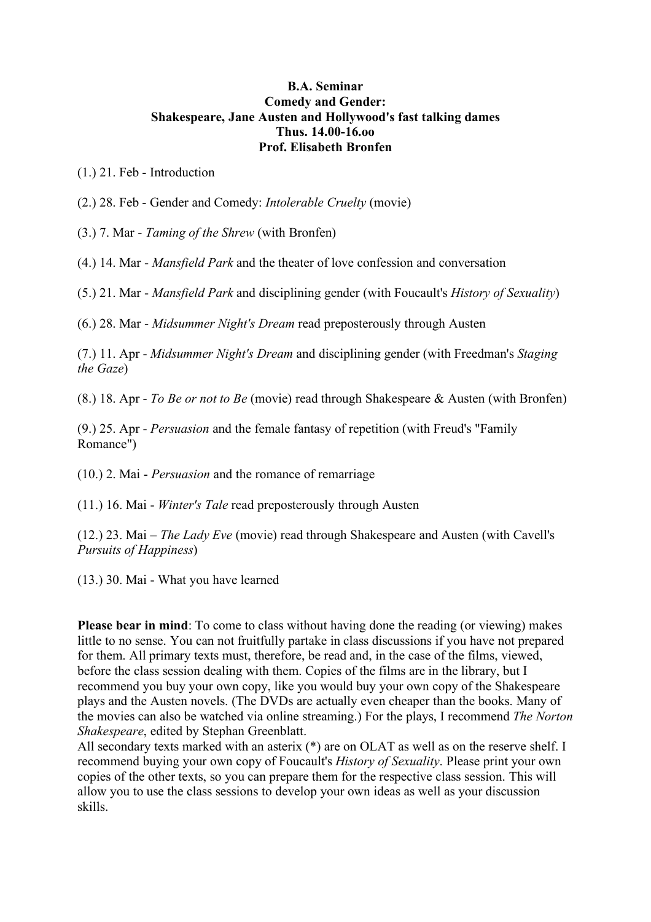## **B.A. Seminar Comedy and Gender: Shakespeare, Jane Austen and Hollywood's fast talking dames Thus. 14.00-16.oo Prof. Elisabeth Bronfen**

(1.) 21. Feb - Introduction

- (2.) 28. Feb Gender and Comedy: *Intolerable Cruelty* (movie)
- (3.) 7. Mar *Taming of the Shrew* (with Bronfen)

(4.) 14. Mar - *Mansfield Park* and the theater of love confession and conversation

(5.) 21. Mar - *Mansfield Park* and disciplining gender (with Foucault's *History of Sexuality*)

(6.) 28. Mar - *Midsummer Night's Dream* read preposterously through Austen

(7.) 11. Apr - *Midsummer Night's Dream* and disciplining gender (with Freedman's *Staging the Gaze*)

(8.) 18. Apr - *To Be or not to Be* (movie) read through Shakespeare & Austen (with Bronfen)

(9.) 25. Apr - *Persuasion* and the female fantasy of repetition (with Freud's "Family Romance")

(10.) 2. Mai - *Persuasion* and the romance of remarriage

(11.) 16. Mai - *Winter's Tale* read preposterously through Austen

(12.) 23. Mai – *The Lady Eve* (movie) read through Shakespeare and Austen (with Cavell's *Pursuits of Happiness*)

(13.) 30. Mai - What you have learned

**Please bear in mind**: To come to class without having done the reading (or viewing) makes little to no sense. You can not fruitfully partake in class discussions if you have not prepared for them. All primary texts must, therefore, be read and, in the case of the films, viewed, before the class session dealing with them. Copies of the films are in the library, but I recommend you buy your own copy, like you would buy your own copy of the Shakespeare plays and the Austen novels. (The DVDs are actually even cheaper than the books. Many of the movies can also be watched via online streaming.) For the plays, I recommend *The Norton Shakespeare*, edited by Stephan Greenblatt.

All secondary texts marked with an asterix (\*) are on OLAT as well as on the reserve shelf. I recommend buying your own copy of Foucault's *History of Sexuality*. Please print your own copies of the other texts, so you can prepare them for the respective class session. This will allow you to use the class sessions to develop your own ideas as well as your discussion skills.